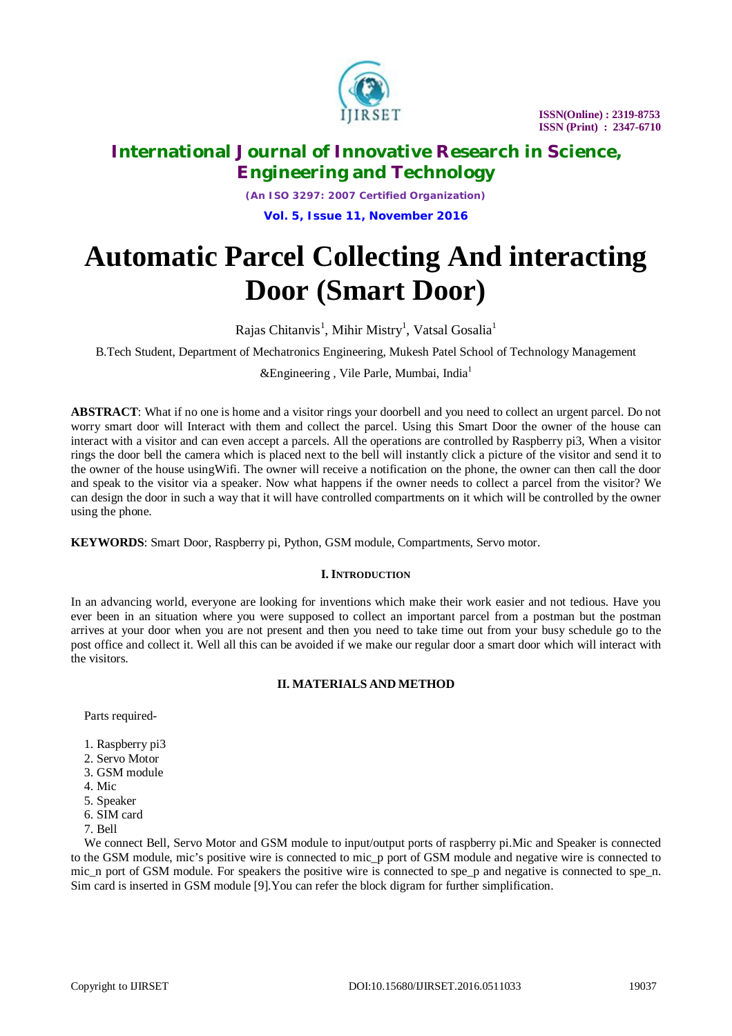

 **ISSN(Online) : 2319-8753 ISSN (Print) : 2347-6710**

## **International Journal of Innovative Research in Science, Engineering and Technology**

*(An ISO 3297: 2007 Certified Organization)* **Vol. 5, Issue 11, November 2016**

# **Automatic Parcel Collecting And interacting Door (Smart Door)**

Rajas Chitanvis<sup>1</sup>, Mihir Mistry<sup>1</sup>, Vatsal Gosalia<sup>1</sup>

B.Tech Student, Department of Mechatronics Engineering, Mukesh Patel School of Technology Management

&Engineering , Vile Parle, Mumbai, India<sup>1</sup>

**ABSTRACT**: What if no one is home and a visitor rings your doorbell and you need to collect an urgent parcel. Do not worry smart door will Interact with them and collect the parcel. Using this Smart Door the owner of the house can interact with a visitor and can even accept a parcels. All the operations are controlled by Raspberry pi3, When a visitor rings the door bell the camera which is placed next to the bell will instantly click a picture of the visitor and send it to the owner of the house usingWifi. The owner will receive a notification on the phone, the owner can then call the door and speak to the visitor via a speaker. Now what happens if the owner needs to collect a parcel from the visitor? We can design the door in such a way that it will have controlled compartments on it which will be controlled by the owner using the phone.

**KEYWORDS**: Smart Door, Raspberry pi, Python, GSM module, Compartments, Servo motor.

### **I. INTRODUCTION**

In an advancing world, everyone are looking for inventions which make their work easier and not tedious. Have you ever been in an situation where you were supposed to collect an important parcel from a postman but the postman arrives at your door when you are not present and then you need to take time out from your busy schedule go to the post office and collect it. Well all this can be avoided if we make our regular door a smart door which will interact with the visitors.

### **II. MATERIALS AND METHOD**

Parts required-

- 1. Raspberry pi3
- 2. Servo Motor
- 3. GSM module
- 4. Mic
- 5. Speaker
- 6. SIM card
- 7. Bell

We connect Bell, Servo Motor and GSM module to input/output ports of raspberry pi.Mic and Speaker is connected to the GSM module, mic's positive wire is connected to mic\_p port of GSM module and negative wire is connected to mic\_n port of GSM module. For speakers the positive wire is connected to spe\_p and negative is connected to spe\_n. Sim card is inserted in GSM module [9].You can refer the block digram for further simplification.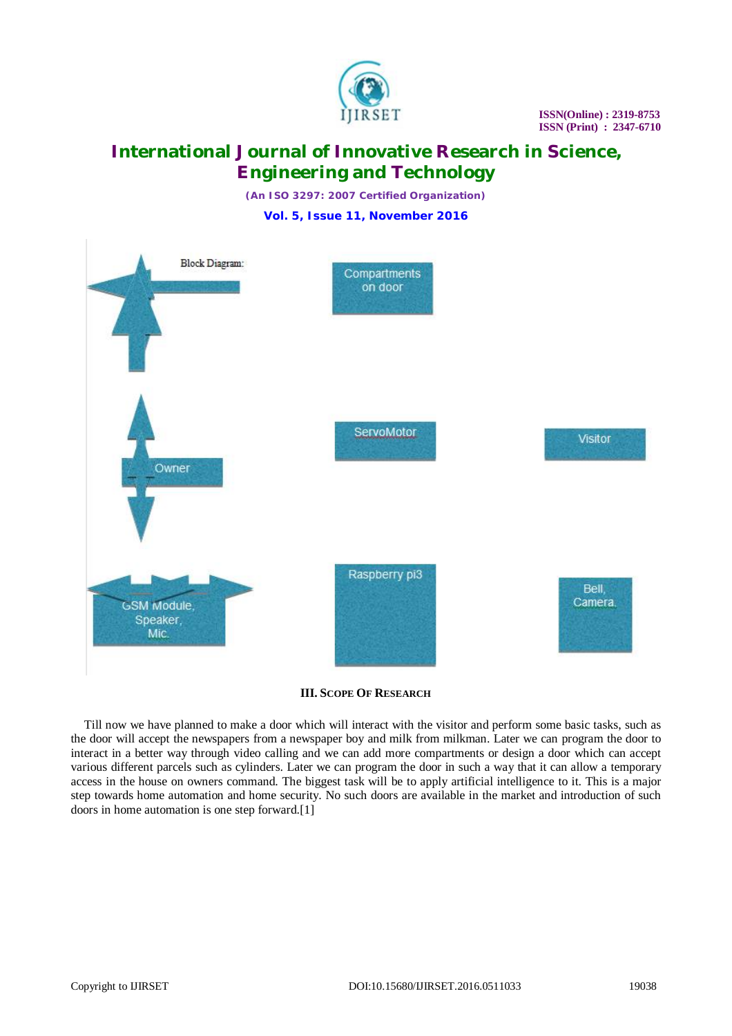

# **International Journal of Innovative Research in Science, Engineering and Technology**

*(An ISO 3297: 2007 Certified Organization)* **Vol. 5, Issue 11, November 2016**



**III. SCOPE OF RESEARCH**

Till now we have planned to make a door which will interact with the visitor and perform some basic tasks, such as the door will accept the newspapers from a newspaper boy and milk from milkman. Later we can program the door to interact in a better way through video calling and we can add more compartments or design a door which can accept various different parcels such as cylinders. Later we can program the door in such a way that it can allow a temporary access in the house on owners command. The biggest task will be to apply artificial intelligence to it. This is a major step towards home automation and home security. No such doors are available in the market and introduction of such doors in home automation is one step forward.[1]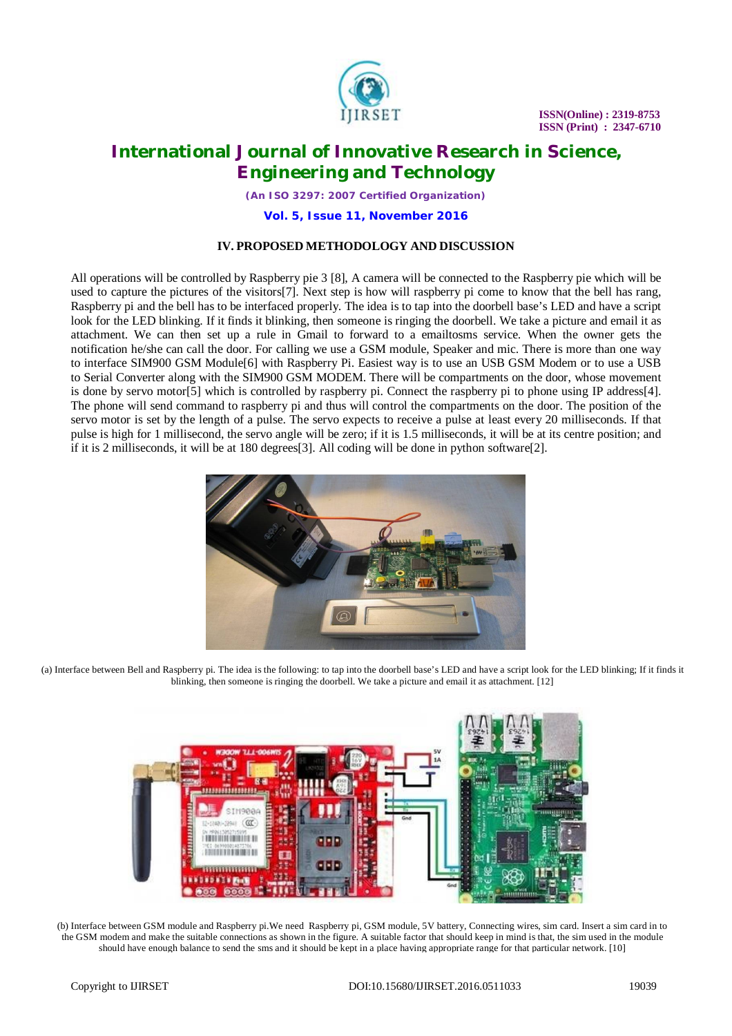

 **ISSN(Online) : 2319-8753 ISSN (Print) : 2347-6710**

### **International Journal of Innovative Research in Science, Engineering and Technology**

*(An ISO 3297: 2007 Certified Organization)*

**Vol. 5, Issue 11, November 2016**

#### **IV. PROPOSED METHODOLOGY AND DISCUSSION**

All operations will be controlled by Raspberry pie 3 [8], A camera will be connected to the Raspberry pie which will be used to capture the pictures of the visitors[7]. Next step is how will raspberry pi come to know that the bell has rang, Raspberry pi and the bell has to be interfaced properly. The idea is to tap into the doorbell base's LED and have a script look for the LED blinking. If it finds it blinking, then someone is ringing the doorbell. We take a picture and email it as attachment. We can then set up a rule in Gmail to forward to a emailtosms service. When the owner gets the notification he/she can call the door. For calling we use a GSM module, Speaker and mic. There is more than one way to interface SIM900 GSM Module[6] with Raspberry Pi. Easiest way is to use an USB GSM Modem or to use a USB to Serial Converter along with the SIM900 GSM MODEM. There will be compartments on the door, whose movement is done by servo motor[5] which is controlled by raspberry pi. Connect the raspberry pi to phone using IP address[4]. The phone will send command to raspberry pi and thus will control the compartments on the door. The position of the servo motor is set by the length of a pulse. The servo expects to receive a pulse at least every 20 milliseconds. If that pulse is high for 1 millisecond, the servo angle will be zero; if it is 1.5 milliseconds, it will be at its centre position; and if it is 2 milliseconds, it will be at 180 degrees[3]. All coding will be done in python software[2].



(a) Interface between Bell and Raspberry pi. The idea is the following: to tap into the doorbell base's LED and have a script look for the LED blinking; If it finds it blinking, then someone is ringing the doorbell. We take a picture and email it as attachment. [12]



(b) Interface between GSM module and Raspberry pi.We need Raspberry pi, GSM module, 5V battery, Connecting wires, sim card. Insert a sim card in to the GSM modem and make the suitable connections as shown in the figure. A suitable factor that should keep in mind is that, the sim used in the module should have enough balance to send the sms and it should be kept in a place having appropriate range for that particular network. [10]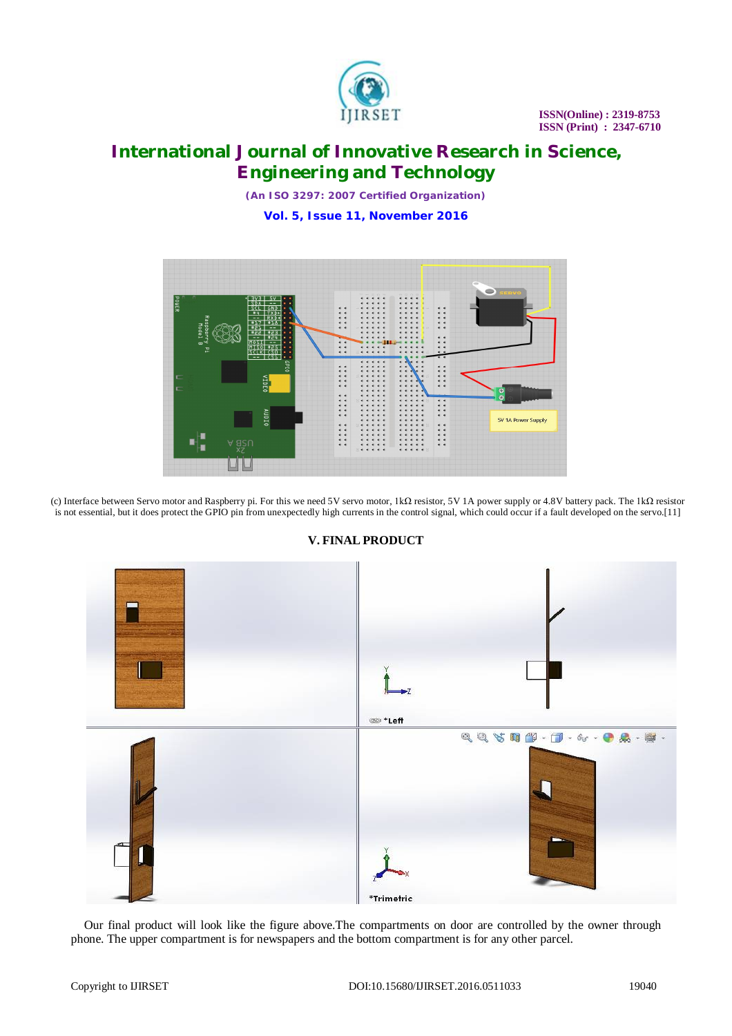

# **International Journal of Innovative Research in Science, Engineering and Technology**

*(An ISO 3297: 2007 Certified Organization)* **Vol. 5, Issue 11, November 2016**



(c) Interface between Servo motor and Raspberry pi. For this we need 5V servo motor, 1kΩ resistor, 5V 1A power supply or 4.8V battery pack. The 1kΩ resistor is not essential, but it does protect the GPIO pin from unexpectedly high currents in the control signal, which could occur if a fault developed on the servo.[11]



### **V. FINAL PRODUCT**

Our final product will look like the figure above.The compartments on door are controlled by the owner through phone. The upper compartment is for newspapers and the bottom compartment is for any other parcel.